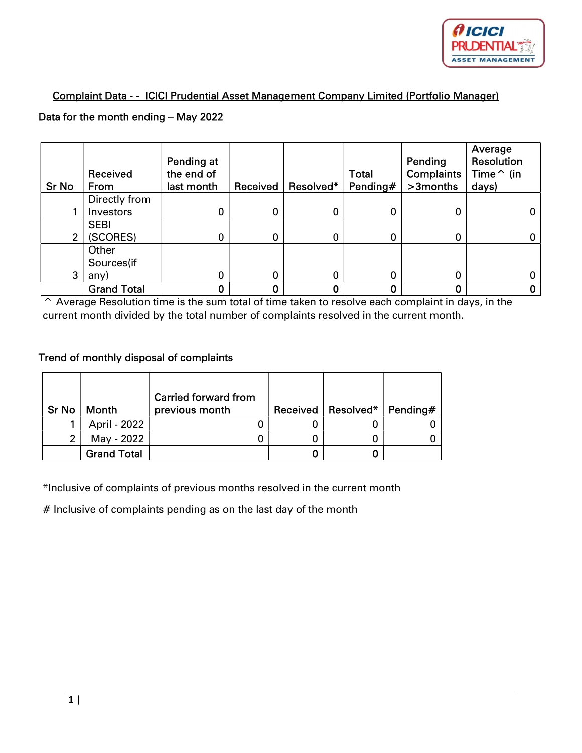

## Complaint Data - - ICICI Prudential Asset Management Company Limited (Portfolio Manager)

## Data for the month ending – May 2022

| <b>Sr No</b>   | Received<br>From   | <b>Pending at</b><br>the end of<br>last month | Received | Resolved* | <b>Total</b><br>Pending# | Pending<br><b>Complaints</b><br>>3months | Average<br>Resolution<br>Time $\hat{}$ (in<br>days) |
|----------------|--------------------|-----------------------------------------------|----------|-----------|--------------------------|------------------------------------------|-----------------------------------------------------|
|                | Directly from      |                                               |          |           |                          |                                          |                                                     |
|                | Investors          | $\mathbf 0$                                   |          | 0         | 0                        | 0                                        |                                                     |
|                | <b>SEBI</b>        |                                               |          |           |                          |                                          |                                                     |
| $\overline{2}$ | (SCORES)           | 0                                             | 0        | 0         | 0                        | 0                                        |                                                     |
|                | Other              |                                               |          |           |                          |                                          |                                                     |
|                | Sources(if         |                                               |          |           |                          |                                          |                                                     |
| 3              | any)               | 0                                             |          | 0         | 0                        | 0                                        |                                                     |
|                | <b>Grand Total</b> |                                               |          | 0         |                          | 0                                        |                                                     |

^ Average Resolution time is the sum total of time taken to resolve each complaint in days, in the current month divided by the total number of complaints resolved in the current month.

## Trend of monthly disposal of complaints

| <b>Sr No</b> | Month              | <b>Carried forward from</b><br>previous month | Received   Resolved* | Pending $#$ |
|--------------|--------------------|-----------------------------------------------|----------------------|-------------|
|              | April - 2022       |                                               |                      |             |
| 2            | May - 2022         |                                               |                      |             |
|              | <b>Grand Total</b> |                                               | 0                    |             |

\*Inclusive of complaints of previous months resolved in the current month

# Inclusive of complaints pending as on the last day of the month